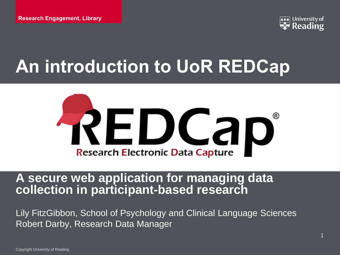

# **An introduction to UoR REDCap**



#### **A secure web application for managing data collection in participant-based research**

Lily FitzGibbon, School of Psychology and Clinical Language Sciences Robert Darby, Research Data Manager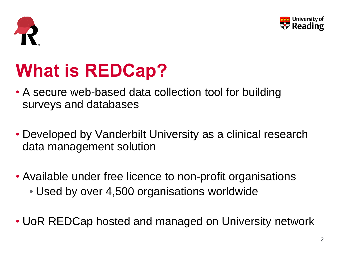



# **What is REDCap?**

- A secure web-based data collection tool for building surveys and databases
- Developed by Vanderbilt University as a clinical research data management solution
- Available under free licence to non-profit organisations • Used by over 4,500 organisations worldwide
- UoR REDCap hosted and managed on University network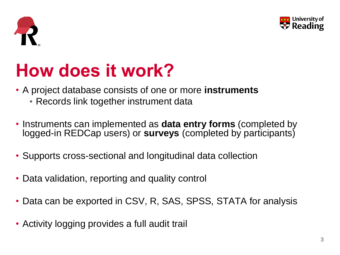



## **How does it work?**

- A project database consists of one or more **instruments**
	- Records link together instrument data
- Instruments can implemented as **data entry forms** (completed by logged-in REDCap users) or **surveys** (completed by participants)
- Supports cross-sectional and longitudinal data collection
- Data validation, reporting and quality control
- Data can be exported in CSV, R, SAS, SPSS, STATA for analysis
- Activity logging provides a full audit trail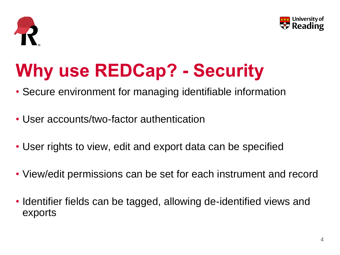



# **Why use REDCap? - Security**

- Secure environment for managing identifiable information
- User accounts/two-factor authentication
- User rights to view, edit and export data can be specified
- View/edit permissions can be set for each instrument and record
- Identifier fields can be tagged, allowing de-identified views and exports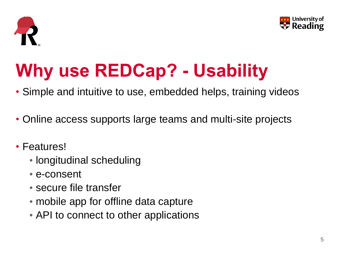



# **Why use REDCap? - Usability**

- Simple and intuitive to use, embedded helps, training videos
- Online access supports large teams and multi-site projects
- Features!
	- longitudinal scheduling
	- e-consent
	- secure file transfer
	- mobile app for offline data capture
	- API to connect to other applications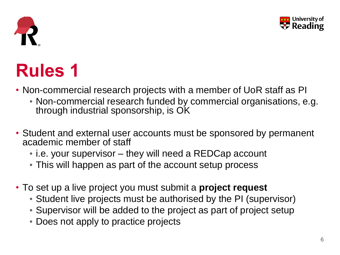



# **Rules 1**

- Non-commercial research projects with a member of UoR staff as PI
	- Non-commercial research funded by commercial organisations, e.g. through industrial sponsorship, is OK
- Student and external user accounts must be sponsored by permanent academic member of staff
	- i.e. your supervisor they will need a REDCap account
	- This will happen as part of the account setup process
- To set up a live project you must submit a **project request**
	- Student live projects must be authorised by the PI (supervisor)
	- Supervisor will be added to the project as part of project setup
	- Does not apply to practice projects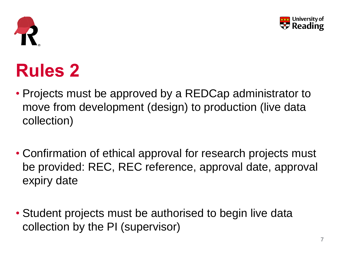



# **Rules 2**

- Projects must be approved by a REDCap administrator to move from development (design) to production (live data collection)
- Confirmation of ethical approval for research projects must be provided: REC, REC reference, approval date, approval expiry date
- Student projects must be authorised to begin live data collection by the PI (supervisor)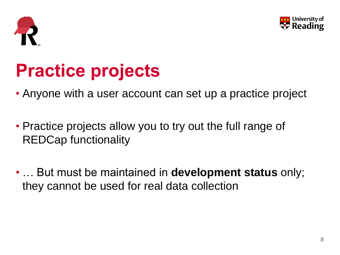



## **Practice projects**

- Anyone with a user account can set up a practice project
- Practice projects allow you to try out the full range of REDCap functionality
- … But must be maintained in **development status** only; they cannot be used for real data collection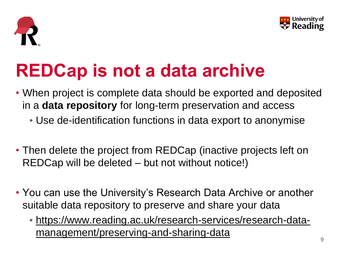



## **REDCap is not a data archive**

- When project is complete data should be exported and deposited in a **data repository** for long-term preservation and access
	- Use de-identification functions in data export to anonymise
- Then delete the project from REDCap (inactive projects left on REDCap will be deleted – but not without notice!)
- You can use the University's Research Data Archive or another suitable data repository to preserve and share your data
	- [https://www.reading.ac.uk/research-services/research-data](https://www.reading.ac.uk/research-services/research-data-management/preserving-and-sharing-data)management/preserving-and-sharing-data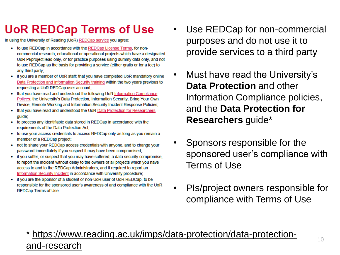### **UoR REDCap Terms of Use**

In using the University of Reading (UoR) REDCap service you agree:

- to use REDCap in accordance with the REDCap License Terms, for noncommercial research, educational or operational projects which have a designated UoR Pl/project lead only, or for practice purposes using dummy data only, and not to use REDCap as the basis for providing a service (either gratis or for a fee) to any third party;
- if you are a member of UoR staff: that you have completed UoR mandatory online Data Protection and Information Security training within the two years previous to requesting a UoR REDCap user account;
- that you have read and understood the following UoR Information Compliance Polices: the University's Data Protection, Information Security, Bring Your Own Device, Remote Working and Information Security Incident Response Policies;
- that you have read and understood the UoR Data Protection for Researchers guide;
- to process any identifiable data stored in REDCap in accordance with the requirements of the Data Protection Act:
- to use your access credentials to access REDCap only as long as you remain a member of a REDCap project;
- not to share your REDCap access credentials with anyone, and to change your password immediately if you suspect it may have been compromised;
- if you suffer, or suspect that you may have suffered, a data security compromise, to report the incident without delay to the owners of all projects which you have access to and to the REDCap Administrators, and if required to report an Information Security Incident in accordance with University procedure;
- if you are the Sponsor of a student or non-UoR user of UoR REDCap, to be responsible for the sponsored user's awareness of and compliance with the UoR REDCap Terms of Use.
- Use REDCap for non-commercial purposes and do not use it to provide services to a third party
- Must have read the University's **Data Protection** and other Information Compliance policies, and the **Data Protection for Researchers** guide\*
- Sponsors responsible for the sponsored user's compliance with Terms of Use
- PIs/project owners responsible for compliance with Terms of Use

#### https://www.reading.ac.uk/imps/data-protection/data-protectionand-research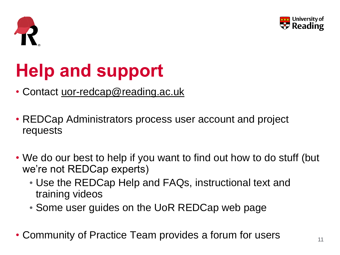



# **Help and support**

- Contact [uor-redcap@reading.ac.uk](mailto:uor-redcap@reading.ac.uk)
- REDCap Administrators process user account and project requests
- We do our best to help if you want to find out how to do stuff (but we're not REDCap experts)
	- Use the REDCap Help and FAQs, instructional text and training videos
	- Some user guides on the UoR REDCap web page
- Community of Practice Team provides a forum for users  $\frac{1}{11}$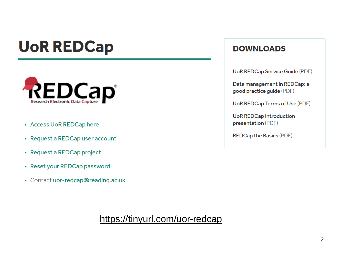## **UoR REDCap**



- Access UoR REDCap here
- Request a REDCap user account
- Request a REDCap project
- Reset your REDCap password
- Contact uor-redcap@reading.ac.uk

#### **DOWNLOADS**

**UoR REDCap Service Guide (PDF)** 

Data management in REDCap: a good practice guide (PDF)

UoR REDCap Terms of Use (PDF)

**UoR REDCap Introduction** presentation (PDF)

**REDCap the Basics (PDF)** 

<https://tinyurl.com/uor-redcap>